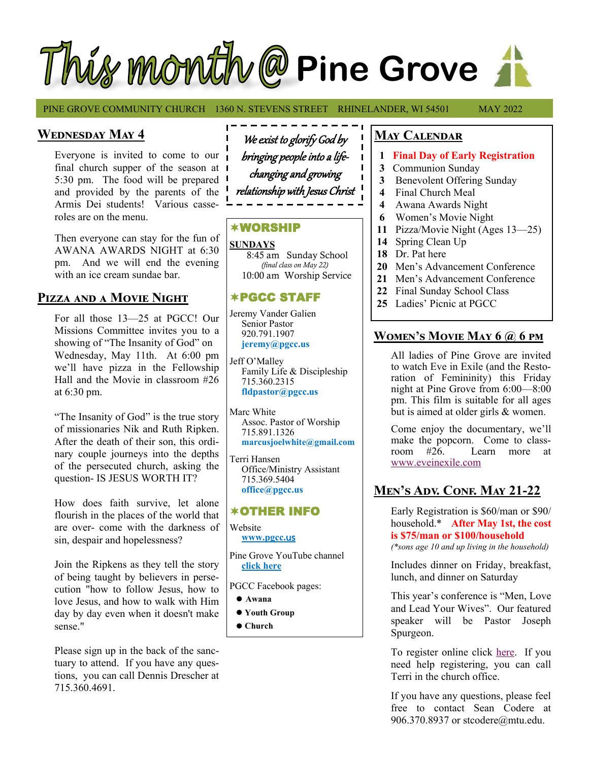# Thus month @ Pine Grove

PINE GROVE COMMUNITY CHURCH 1360 N. STEVENS STREET RHINELANDER, WI 54501 MAY 2022

# **Wednesday May 4**

Everyone is invited to come to our final church supper of the season at 5:30 pm. The food will be prepared and provided by the parents of the Armis Dei students! Various casseroles are on the menu.

Then everyone can stay for the fun of AWANA AWARDS NIGHT at 6:30 pm. And we will end the evening with an ice cream sundae bar.

# **Pizza and a Movie Night**

For all those 13—25 at PGCC! Our Missions Committee invites you to a showing of "The Insanity of God" on Wednesday, May 11th. At 6:00 pm we'll have pizza in the Fellowship Hall and the Movie in classroom #26 at 6:30 pm.

"The Insanity of God" is the true story of missionaries Nik and Ruth Ripken. After the death of their son, this ordinary couple journeys into the depths of the persecuted church, asking the question- IS JESUS WORTH IT?

How does faith survive, let alone flourish in the places of the world that are over- come with the darkness of sin, despair and hopelessness?

Join the Ripkens as they tell the story of being taught by believers in persecution "how to follow Jesus, how to love Jesus, and how to walk with Him day by day even when it doesn't make sense."

Please sign up in the back of the sanctuary to attend. If you have any questions, you can call Dennis Drescher at 715.360.4691.

We exist to glorify God by bringing people into a lifechanging and growing relationship with Jesus Christ

## WORSHIP

**SUNDAYS** 8:45 am Sunday School *(final class on May 22)* 10:00 am Worship Service

# PGCC STAFF

Jeremy Vander Galien Senior Pastor 920.791.1907 **jeremy@pgcc.us**

Jeff O'Malley Family Life & Discipleship 715.360.2315  **fldpastor@pgcc.us**

Marc White Assoc. Pastor of Worship 715.891.1326  **marcusjoelwhite@gmail.com**

Terri Hansen Office/Ministry Assistant 715.369.5404 **office@pgcc.us**

## OTHER INFO

Website **[www.pgcc.](https://www.pinegrove-wi.com/)**us

Pine Grove YouTube channel **[click here](https://www.youtube.com/channel/UCEH5RL71sr6rZkcZOh15D9w/featured)**

PGCC Facebook pages:

- ⚫**.[Awana](https://www.facebook.com/PgccAwana/)**
- ⚫**.[Youth Group](https://www.facebook.com/pgccyouth/)**
- ⚫**.[Church](https://www.facebook.com/PineGroveRhinelander/)**

## **May Calendar**

- **1 Final Day of Early Registration**
- **3** Communion Sunday
- **3** Benevolent Offering Sunday
- **4** Final Church Meal
- **4** Awana Awards Night
- **6** Women's Movie Night
- **11** Pizza/Movie Night (Ages 13—25)
- **14** Spring Clean Up
- **18** Dr. Pat here
- **20** Men's Advancement Conference
- **21** Men's Advancement Conference
- **22** Final Sunday School Class
- **25** Ladies' Picnic at PGCC

# **Women's Movie May 6 @ 6 pm**

All ladies of Pine Grove are invited to watch Eve in Exile (and the Restoration of Femininity) this Friday night at Pine Grove from 6:00—8:00 pm. This film is suitable for all ages but is aimed at older girls & women.

Come enjoy the documentary, we'll make the popcorn. Come to class-<br>room #26. Learn more at Learn more at [www.eveinexile.com](https://www.eveinexile.com/)

# **Men's Adv. Conf. May 21-22**

Early Registration is \$60/man or \$90/ household.\* **After May 1st, the cost is \$75/man or \$100/household** *(\*sons age 10 and up living in the household)*

Includes dinner on Friday, breakfast, lunch, and dinner on Saturday

This year's conference is "Men, Love and Lead Your Wives". Our featured speaker will be Pastor Joseph Spurgeon.

To register online click [here.](https://docs.google.com/forms/d/e/1FAIpQLSeZbI-NDGz9C-Rb2vY0CToa3SDrJFOii0oSy8KjeGyGhb0v4w/viewform) If you need help registering, you can call Terri in the church office.

If you have any questions, please feel free to contact Sean Codere at 906.370.8937 or stcodere@mtu.edu.